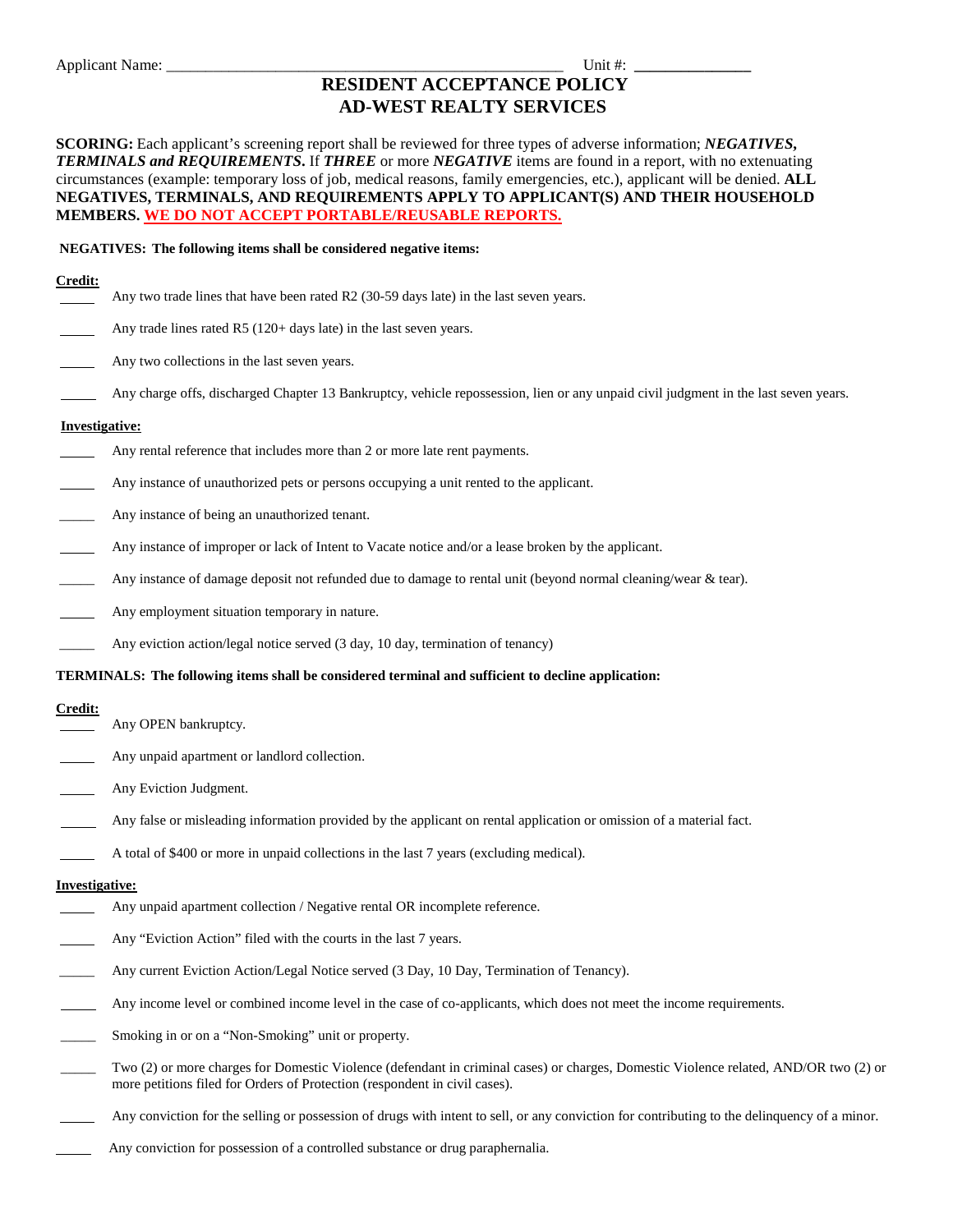# **RESIDENT ACCEPTANCE POLICY AD-WEST REALTY SERVICES**

**SCORING:** Each applicant's screening report shall be reviewed for three types of adverse information; *NEGATIVES***,** *TERMINALS and REQUIREMENTS***.** If *THREE* or more *NEGATIVE* items are found in a report, with no extenuating circumstances (example: temporary loss of job, medical reasons, family emergencies, etc.), applicant will be denied. **ALL NEGATIVES, TERMINALS, AND REQUIREMENTS APPLY TO APPLICANT(S) AND THEIR HOUSEHOLD MEMBERS. WE DO NOT ACCEPT PORTABLE/REUSABLE REPORTS.**

#### **NEGATIVES: The following items shall be considered negative items:**

## **Credit:**

- Any two trade lines that have been rated R2 (30-59 days late) in the last seven years.
- Any trade lines rated R5 (120+ days late) in the last seven years.
- Any two collections in the last seven years.
- Any charge offs, discharged Chapter 13 Bankruptcy, vehicle repossession, lien or any unpaid civil judgment in the last seven years.

### **Investigative:**

- Any rental reference that includes more than 2 or more late rent payments.
- Any instance of unauthorized pets or persons occupying a unit rented to the applicant.
- Any instance of being an unauthorized tenant.
- Any instance of improper or lack of Intent to Vacate notice and/or a lease broken by the applicant.
- Any instance of damage deposit not refunded due to damage to rental unit (beyond normal cleaning/wear  $\&$  tear).
- Any employment situation temporary in nature.
- Any eviction action/legal notice served (3 day, 10 day, termination of tenancy)

#### **TERMINALS: The following items shall be considered terminal and sufficient to decline application:**

## **Credit:**

- Any OPEN bankruptcy.
- Any unpaid apartment or landlord collection.
- Any Eviction Judgment.
- Any false or misleading information provided by the applicant on rental application or omission of a material fact.
- A total of \$400 or more in unpaid collections in the last 7 years (excluding medical).

#### **Investigative:**

- Any unpaid apartment collection / Negative rental OR incomplete reference.
- Any "Eviction Action" filed with the courts in the last 7 years.
- Any current Eviction Action/Legal Notice served (3 Day, 10 Day, Termination of Tenancy).
- Any income level or combined income level in the case of co-applicants, which does not meet the income requirements.
- Smoking in or on a "Non-Smoking" unit or property.
- \_\_\_\_\_ Two (2) or more charges for Domestic Violence (defendant in criminal cases) or charges, Domestic Violence related, AND/OR two (2) or more petitions filed for Orders of Protection (respondent in civil cases).
- Any conviction for the selling or possession of drugs with intent to sell, or any conviction for contributing to the delinquency of a minor.
	- Any conviction for possession of a controlled substance or drug paraphernalia.